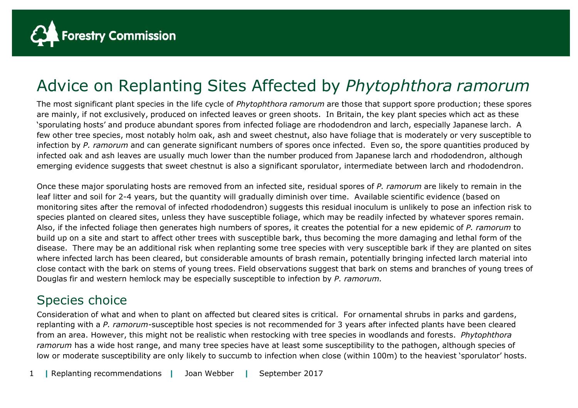

## Advice on Replanting Sites Affected by *Phytophthora ramorum*

The most significant plant species in the life cycle of *Phytophthora ramorum* are those that support spore production; these spores are mainly, if not exclusively, produced on infected leaves or green shoots. In Britain, the key plant species which act as these 'sporulating hosts' and produce abundant spores from infected foliage are rhododendron and larch, especially Japanese larch. A few other tree species, most notably holm oak, ash and sweet chestnut, also have foliage that is moderately or very susceptible to infection by *P. ramorum* and can generate significant numbers of spores once infected. Even so, the spore quantities produced by infected oak and ash leaves are usually much lower than the number produced from Japanese larch and rhododendron, although emerging evidence suggests that sweet chestnut is also a significant sporulator, intermediate between larch and rhododendron.

Once these major sporulating hosts are removed from an infected site, residual spores of *P. ramorum* are likely to remain in the leaf litter and soil for 2-4 years, but the quantity will gradually diminish over time. Available scientific evidence (based on monitoring sites after the removal of infected rhododendron) suggests this residual inoculum is unlikely to pose an infection risk to species planted on cleared sites, unless they have susceptible foliage, which may be readily infected by whatever spores remain. Also, if the infected foliage then generates high numbers of spores, it creates the potential for a new epidemic of *P. ramorum* to build up on a site and start to affect other trees with susceptible bark, thus becoming the more damaging and lethal form of the disease. There may be an additional risk when replanting some tree species with very susceptible bark if they are planted on sites where infected larch has been cleared, but considerable amounts of brash remain, potentially bringing infected larch material into close contact with the bark on stems of young trees. Field observations suggest that bark on stems and branches of young trees of Douglas fir and western hemlock may be especially susceptible to infection by *P. ramorum.*

## Species choice

Consideration of what and when to plant on affected but cleared sites is critical. For ornamental shrubs in parks and gardens, replanting with a *P. ramorum-*susceptible host species is not recommended for 3 years after infected plants have been cleared from an area. However, this might not be realistic when restocking with tree species in woodlands and forests. *Phytophthora ramorum* has a wide host range, and many tree species have at least some susceptibility to the pathogen, although species of low or moderate susceptibility are only likely to succumb to infection when close (within 100m) to the heaviest 'sporulator' hosts.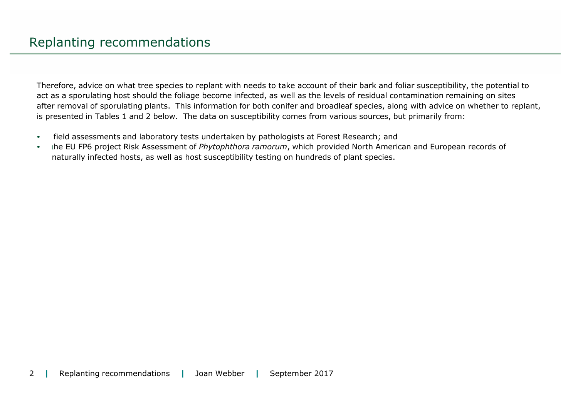Therefore, advice on what tree species to replant with needs to take account of their bark and foliar susceptibility, the potential to act as a sporulating host should the foliage become infected, as well as the levels of residual contamination remaining on sites after removal of sporulating plants. This information for both conifer and broadleaf species, along with advice on whether to replant, is presented in Tables 1 and 2 below. The data on susceptibility comes from various sources, but primarily from:

- field assessments and laboratory tests undertaken by pathologists at Forest Research; and
- the EU FP6 project Risk Assessment of *Phytophthora ramorum*, which provided North American and European records of naturally infected hosts, as well as host susceptibility testing on hundreds of plant species.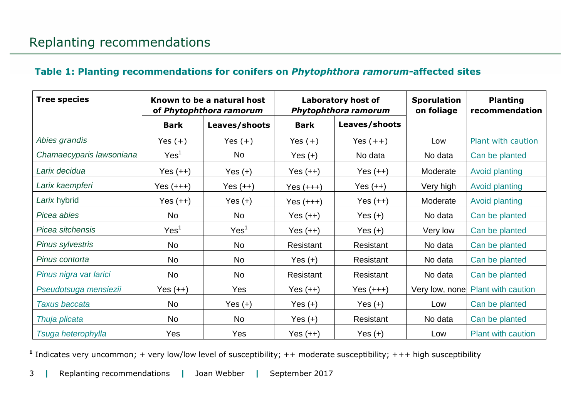## **Table 1: Planting recommendations for conifers on** *Phytophthora ramorum-***affected sites**

| <b>Tree species</b>      | Known to be a natural host<br>of Phytophthora ramorum |                  | Laboratory host of<br>Phytophthora ramorum |               | <b>Sporulation</b><br>on foliage | <b>Planting</b><br>recommendation |
|--------------------------|-------------------------------------------------------|------------------|--------------------------------------------|---------------|----------------------------------|-----------------------------------|
|                          | <b>Bark</b>                                           | Leaves/shoots    | <b>Bark</b>                                | Leaves/shoots |                                  |                                   |
| Abies grandis            | Yes $(+)$                                             | Yes $(+)$        | Yes $(+)$                                  | Yes $(++)$    | Low                              | Plant with caution                |
| Chamaecyparis lawsoniana | Yes <sup>1</sup>                                      | No               | Yes $(+)$                                  | No data       | No data                          | Can be planted                    |
| Larix decidua            | Yes $(++)$                                            | Yes $(+)$        | Yes $(++)$                                 | Yes $(++)$    | Moderate                         | <b>Avoid planting</b>             |
| Larix kaempferi          | $Yes (+++)$                                           | $Yes (++)$       | $Yes (+++)$                                | Yes $(++)$    | Very high                        | <b>Avoid planting</b>             |
| Larix hybrid             | Yes $(++)$                                            | Yes $(+)$        | $Yes (+++)$                                | $Yes (++)$    | Moderate                         | Avoid planting                    |
| Picea abies              | <b>No</b>                                             | <b>No</b>        | Yes $(++)$                                 | Yes $(+)$     | No data                          | Can be planted                    |
| Picea sitchensis         | Yes <sup>1</sup>                                      | Yes <sup>1</sup> | $Yes (++)$                                 | Yes $(+)$     | Very low                         | Can be planted                    |
| Pinus sylvestris         | <b>No</b>                                             | <b>No</b>        | Resistant                                  | Resistant     | No data                          | Can be planted                    |
| Pinus contorta           | <b>No</b>                                             | <b>No</b>        | Yes $(+)$                                  | Resistant     | No data                          | Can be planted                    |
| Pinus nigra var larici   | N <sub>o</sub>                                        | <b>No</b>        | Resistant                                  | Resistant     | No data                          | Can be planted                    |
| Pseudotsuga mensiezii    | Yes $(++)$                                            | Yes              | $Yes (++)$                                 | $Yes (+++)$   | Very low, none                   | <b>Plant with caution</b>         |
| Taxus baccata            | <b>No</b>                                             | Yes $(+)$        | Yes $(+)$                                  | Yes $(+)$     | Low                              | Can be planted                    |
| Thuja plicata            | No.                                                   | <b>No</b>        | Yes $(+)$                                  | Resistant     | No data                          | Can be planted                    |
| Tsuga heterophylla       | Yes                                                   | Yes              | Yes $(++)$                                 | Yes $(+)$     | Low                              | <b>Plant with caution</b>         |

**1** Indicates very uncommon; + very low/low level of susceptibility; ++ moderate susceptibility; +++ high susceptibility

3 **|** Replanting recommendations **|** Joan Webber **|** September 2017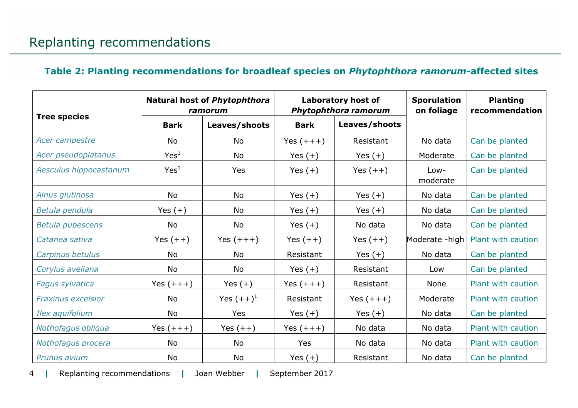## **Table 2: Planting recommendations for broadleaf species on** *Phytophthora ramorum-***affected sites**

|                           | <b>Natural host of Phytophthora</b><br>ramorum |                         | <b>Laboratory host of</b><br>Phytophthora ramorum |               | <b>Sporulation</b><br>on foliage | <b>Planting</b><br>recommendation |
|---------------------------|------------------------------------------------|-------------------------|---------------------------------------------------|---------------|----------------------------------|-----------------------------------|
| <b>Tree species</b>       | <b>Bark</b>                                    | Leaves/shoots           | <b>Bark</b>                                       | Leaves/shoots |                                  |                                   |
| Acer campestre            | No                                             | <b>No</b>               | Yes $(+++)$                                       | Resistant     | No data                          | Can be planted                    |
| Acer pseudoplatanus       | Yes <sup>1</sup>                               | <b>No</b>               | Yes $(+)$                                         | Yes $(+)$     | Moderate                         | Can be planted                    |
| Aesculus hippocastanum    | Yes <sup>1</sup>                               | Yes                     | Yes $(+)$                                         | Yes $(++)$    | Low-<br>moderate                 | Can be planted                    |
| Alnus glutinosa           | <b>No</b>                                      | <b>No</b>               | Yes $(+)$                                         | Yes $(+)$     | No data                          | Can be planted                    |
| Betula pendula            | Yes $(+)$                                      | <b>No</b>               | Yes $(+)$                                         | Yes $(+)$     | No data                          | Can be planted                    |
| <b>Betula pubescens</b>   | No                                             | No                      | Yes $(+)$                                         | No data       | No data                          | Can be planted                    |
| Catanea sativa            | Yes $(++)$                                     | Yes $(+++)$             | Yes $(++)$                                        | Yes $(++)$    | Moderate -high                   | <b>Plant with caution</b>         |
| Carpinus betulus          | <b>No</b>                                      | <b>No</b>               | Resistant                                         | Yes $(+)$     | No data                          | Can be planted                    |
| Corylus avellana          | No                                             | No                      | Yes $(+)$                                         | Resistant     | Low                              | Can be planted                    |
| Fagus sylvatica           | Yes $(+++)$                                    | Yes $(+)$               | Yes $(+++)$                                       | Resistant     | None                             | Plant with caution                |
| <b>Fraxinus excelsior</b> | <b>No</b>                                      | Yes $(++)$ <sup>1</sup> | Resistant                                         | Yes $(+++)$   | Moderate                         | Plant with caution                |
| Ilex aquifolium           | No                                             | Yes                     | Yes $(+)$                                         | Yes $(+)$     | No data                          | Can be planted                    |
| Nothofagus obliqua        | Yes $(+++)$                                    | Yes $(++)$              | Yes $(+++)$                                       | No data       | No data                          | Plant with caution                |
| Nothofagus procera        | No                                             | No                      | Yes                                               | No data       | No data                          | Plant with caution                |
| <b>Prunus avium</b>       | No                                             | <b>No</b>               | Yes $(+)$                                         | Resistant     | No data                          | Can be planted                    |

4 **|** Replanting recommendations **|** Joan Webber **|** September 2017